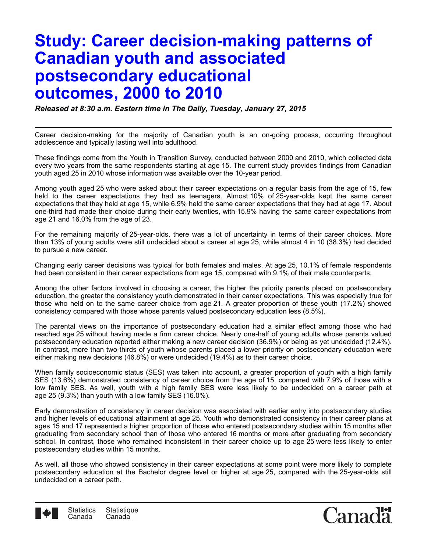## **Study: Career decision-making patterns of Canadian youth and associated postsecondary educational outcomes, 2000 to 2010**

*Released at 8:30 a.m. Eastern time in The Daily, Tuesday, January 27, 2015*

Career decision-making for the majority of Canadian youth is an on-going process, occurring throughout adolescence and typically lasting well into adulthood.

These findings come from the Youth in Transition Survey, conducted between 2000 and 2010, which collected data every two years from the same respondents starting at age 15. The current study provides findings from Canadian youth aged 25 in 2010 whose information was available over the 10-year period.

Among youth aged 25 who were asked about their career expectations on a regular basis from the age of 15, few held to the career expectations they had as teenagers. Almost 10% of 25-year-olds kept the same career expectations that they held at age 15, while 6.9% held the same career expectations that they had at age 17. About one-third had made their choice during their early twenties, with 15.9% having the same career expectations from age 21 and 16.0% from the age of 23.

For the remaining majority of 25-year-olds, there was a lot of uncertainty in terms of their career choices. More than 13% of young adults were still undecided about a career at age 25, while almost 4 in 10 (38.3%) had decided to pursue a new career.

Changing early career decisions was typical for both females and males. At age 25, 10.1% of female respondents had been consistent in their career expectations from age 15, compared with 9.1% of their male counterparts.

Among the other factors involved in choosing a career, the higher the priority parents placed on postsecondary education, the greater the consistency youth demonstrated in their career expectations. This was especially true for those who held on to the same career choice from age 21. A greater proportion of these youth (17.2%) showed consistency compared with those whose parents valued postsecondary education less (8.5%).

The parental views on the importance of postsecondary education had a similar effect among those who had reached age 25 without having made a firm career choice. Nearly one-half of young adults whose parents valued postsecondary education reported either making a new career decision (36.9%) or being as yet undecided (12.4%). In contrast, more than two-thirds of youth whose parents placed a lower priority on postsecondary education were either making new decisions (46.8%) or were undecided (19.4%) as to their career choice.

When family socioeconomic status (SES) was taken into account, a greater proportion of youth with a high family SES (13.6%) demonstrated consistency of career choice from the age of 15, compared with 7.9% of those with a low family SES. As well, youth with a high family SES were less likely to be undecided on a career path at age 25 (9.3%) than youth with a low family SES (16.0%).

Early demonstration of consistency in career decision was associated with earlier entry into postsecondary studies and higher levels of educational attainment at age 25. Youth who demonstrated consistency in their career plans at ages 15 and 17 represented a higher proportion of those who entered postsecondary studies within 15 months after graduating from secondary school than of those who entered 16 months or more after graduating from secondary school. In contrast, those who remained inconsistent in their career choice up to age 25 were less likely to enter postsecondary studies within 15 months.

As well, all those who showed consistency in their career expectations at some point were more likely to complete postsecondary education at the Bachelor degree level or higher at age 25, compared with the 25-year-olds still undecided on a career path.